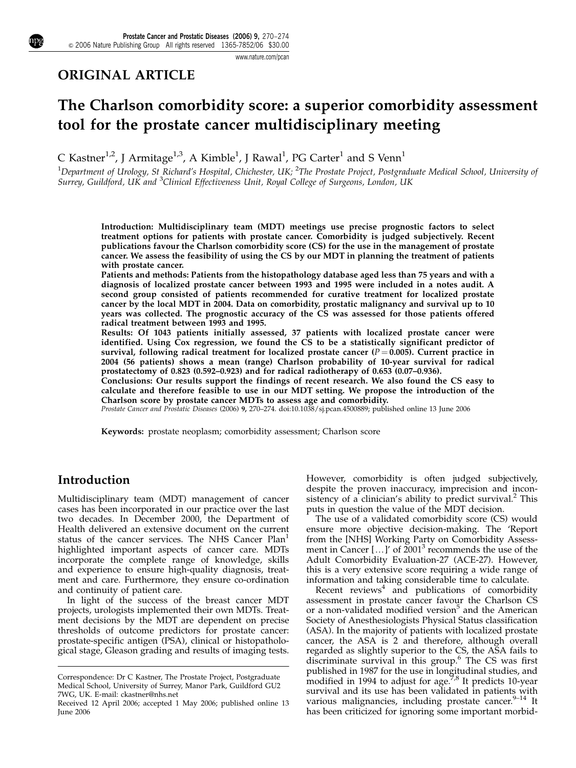## ORIGINAL ARTICLE

# The Charlson comorbidity score: a superior comorbidity assessment tool for the prostate cancer multidisciplinary meeting

C Kastner $^{1,2}$ , J Armitage $^{1,3}$ , A Kimble $^1$ , J Rawal $^1$ , PG Carter $^1$  and S Venn $^1$ 

 $^1$ Department of Urology, St Richard's Hospital, Chichester, UK;  $^2$ The Prostate Project, Postgraduate Medical School, University of Surrey, Guildford, UK and <sup>3</sup>Clinical Effectiveness Unit, Royal College of Surgeons, London, UK

Introduction: Multidisciplinary team (MDT) meetings use precise prognostic factors to select treatment options for patients with prostate cancer. Comorbidity is judged subjectively. Recent publications favour the Charlson comorbidity score (CS) for the use in the management of prostate cancer. We assess the feasibility of using the CS by our MDT in planning the treatment of patients with prostate cancer.

Patients and methods: Patients from the histopathology database aged less than 75 years and with a diagnosis of localized prostate cancer between 1993 and 1995 were included in a notes audit. A second group consisted of patients recommended for curative treatment for localized prostate cancer by the local MDT in 2004. Data on comorbidity, prostatic malignancy and survival up to 10 years was collected. The prognostic accuracy of the CS was assessed for those patients offered radical treatment between 1993 and 1995.

Results: Of 1043 patients initially assessed, 37 patients with localized prostate cancer were identified. Using Cox regression, we found the CS to be a statistically significant predictor of survival, following radical treatment for localized prostate cancer ( $P = 0.005$ ). Current practice in 2004 (56 patients) shows a mean (range) Charlson probability of 10-year survival for radical prostatectomy of 0.823 (0.592–0.923) and for radical radiotherapy of 0.653 (0.07–0.936).

Conclusions: Our results support the findings of recent research. We also found the CS easy to calculate and therefore feasible to use in our MDT setting. We propose the introduction of the Charlson score by prostate cancer MDTs to assess age and comorbidity.

Prostate Cancer and Prostatic Diseases (2006) 9, 270–274. doi:10.1038/sj.pcan.4500889; published online 13 June 2006

Keywords: prostate neoplasm; comorbidity assessment; Charlson score

## Introduction

Multidisciplinary team (MDT) management of cancer cases has been incorporated in our practice over the last two decades. In December 2000, the Department of Health delivered an extensive document on the current status of the cancer services. The NHS Cancer Plan<sup>1</sup> highlighted important aspects of cancer care. MDTs incorporate the complete range of knowledge, skills and experience to ensure high-quality diagnosis, treatment and care. Furthermore, they ensure co-ordination and continuity of patient care.

In light of the success of the breast cancer MDT projects, urologists implemented their own MDTs. Treatment decisions by the MDT are dependent on precise thresholds of outcome predictors for prostate cancer: prostate-specific antigen (PSA), clinical or histopathological stage, Gleason grading and results of imaging tests. However, comorbidity is often judged subjectively, despite the proven inaccuracy, imprecision and inconsistency of a clinician's ability to predict survival.<sup>2</sup> This puts in question the value of the MDT decision.

The use of a validated comorbidity score (CS) would ensure more objective decision-making. The 'Report from the [NHS] Working Party on Comorbidity Assessment in Cancer  $[...]'$  of 2001<sup>3</sup> recommends the use of the Adult Comorbidity Evaluation-27 (ACE-27). However, this is a very extensive score requiring a wide range of information and taking considerable time to calculate.

Recent  $reviews<sup>4</sup>$  and publications of comorbidity assessment in prostate cancer favour the Charlson CS or a non-validated modified version<sup>5</sup> and the American Society of Anesthesiologists Physical Status classification (ASA). In the majority of patients with localized prostate cancer, the ASA is 2 and therefore, although overall regarded as slightly superior to the CS, the ASA fails to discriminate survival in this group.<sup>6</sup> The CS was first published in 1987 for the use in longitudinal studies, and<br>modified in 1994 to adjust for age.<sup>7,8</sup> It predicts 10-year survival and its use has been validated in patients with various malignancies, including prostate cancer.<sup>9-14</sup> It

Correspondence: Dr C Kastner, The Prostate Project, Postgraduate Medical School, University of Surrey, Manor Park, Guildford GU2 7WG, UK. E-mail: ckastner@nhs.net

Received 12 April 2006; accepted 1 May 2006; published online 13 various malignancies, including prostate cancer.<sup>7-14</sup> It<br>- has been criticized for ignoring some important morbid-June 2006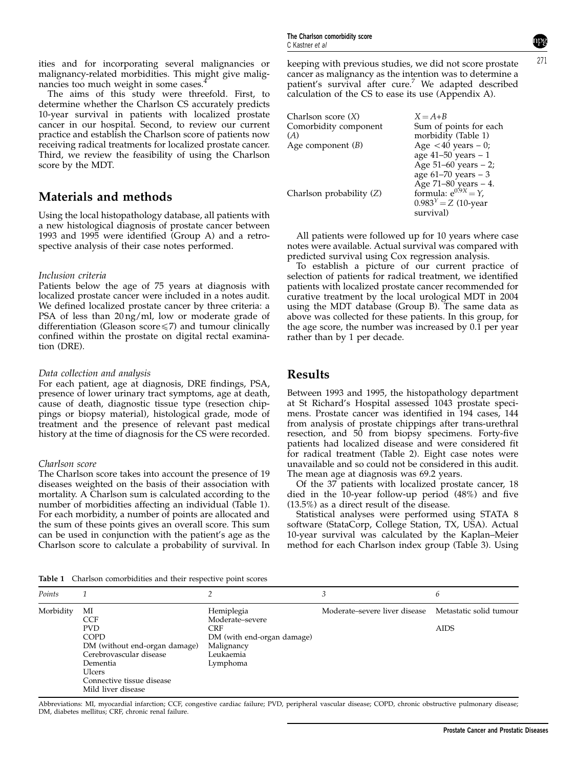271

ities and for incorporating several malignancies or malignancy-related morbidities. This might give malignancies too much weight in some cases.<sup>4</sup>

The aims of this study were threefold. First, to determine whether the Charlson CS accurately predicts 10-year survival in patients with localized prostate cancer in our hospital. Second, to review our current practice and establish the Charlson score of patients now receiving radical treatments for localized prostate cancer. Third, we review the feasibility of using the Charlson score by the MDT.

## Materials and methods

Using the local histopathology database, all patients with a new histological diagnosis of prostate cancer between 1993 and 1995 were identified (Group A) and a retrospective analysis of their case notes performed.

## Inclusion criteria

Patients below the age of 75 years at diagnosis with localized prostate cancer were included in a notes audit. We defined localized prostate cancer by three criteria: a PSA of less than 20 ng/ml, low or moderate grade of differentiation (Gleason score $\leq$ 7) and tumour clinically confined within the prostate on digital rectal examination (DRE).

#### Data collection and analysis

For each patient, age at diagnosis, DRE findings, PSA, presence of lower urinary tract symptoms, age at death, cause of death, diagnostic tissue type (resection chippings or biopsy material), histological grade, mode of treatment and the presence of relevant past medical history at the time of diagnosis for the CS were recorded.

## Charlson score

The Charlson score takes into account the presence of 19 diseases weighted on the basis of their association with mortality. A Charlson sum is calculated according to the number of morbidities affecting an individual (Table 1). For each morbidity, a number of points are allocated and the sum of these points gives an overall score. This sum can be used in conjunction with the patient's age as the Charlson score to calculate a probability of survival. In keeping with previous studies, we did not score prostate cancer as malignancy as the intention was to determine a patient's survival after cure.7 We adapted described calculation of the CS to ease its use (Appendix A).

| Charlson score $(X)$     | $X = A+B$                 |
|--------------------------|---------------------------|
| Comorbidity component    | Sum of points for each    |
| (A)                      | morbidity (Table 1)       |
| Age component $(B)$      | Age $<$ 40 years $-$ 0;   |
|                          | age 41-50 years - 1       |
|                          | Age $51-60$ years $-2$ ;  |
|                          | age $61-70$ years $-3$    |
|                          | Age 71-80 years - 4.      |
| Charlson probability (Z) | formula: $e^{0.9X} = Y$ , |
|                          | $0.983^{Y} = Z (10$ -year |
|                          | survival)                 |

All patients were followed up for 10 years where case notes were available. Actual survival was compared with predicted survival using Cox regression analysis.

To establish a picture of our current practice of selection of patients for radical treatment, we identified patients with localized prostate cancer recommended for curative treatment by the local urological MDT in 2004 using the MDT database (Group B). The same data as above was collected for these patients. In this group, for the age score, the number was increased by 0.1 per year rather than by 1 per decade.

## Results

Between 1993 and 1995, the histopathology department at St Richard's Hospital assessed 1043 prostate specimens. Prostate cancer was identified in 194 cases, 144 from analysis of prostate chippings after trans-urethral resection, and 50 from biopsy specimens. Forty-five patients had localized disease and were considered fit for radical treatment (Table 2). Eight case notes were unavailable and so could not be considered in this audit. The mean age at diagnosis was 69.2 years.

Of the 37 patients with localized prostate cancer, 18 died in the 10-year follow-up period (48%) and five (13.5%) as a direct result of the disease.

Statistical analyses were performed using STATA 8 software (StataCorp, College Station, TX, USA). Actual 10-year survival was calculated by the Kaplan–Meier method for each Charlson index group (Table 3). Using

Table 1 Charlson comorbidities and their respective point scores

| Points    |                                                                                                                                                                                    |                                                                                                                  | 3                                                     | 6           |
|-----------|------------------------------------------------------------------------------------------------------------------------------------------------------------------------------------|------------------------------------------------------------------------------------------------------------------|-------------------------------------------------------|-------------|
| Morbidity | МI<br><b>CCF</b><br><b>PVD</b><br><b>COPD</b><br>DM (without end-organ damage)<br>Cerebrovascular disease<br>Dementia<br>Ulcers<br>Connective tissue disease<br>Mild liver disease | Hemiplegia<br>Moderate-severe<br><b>CRF</b><br>DM (with end-organ damage)<br>Malignancy<br>Leukaemia<br>Lymphoma | Moderate–severe liver disease Metastatic solid tumour | <b>AIDS</b> |

Abbreviations: MI, myocardial infarction; CCF, congestive cardiac failure; PVD, peripheral vascular disease; COPD, chronic obstructive pulmonary disease; DM, diabetes mellitus; CRF, chronic renal failure.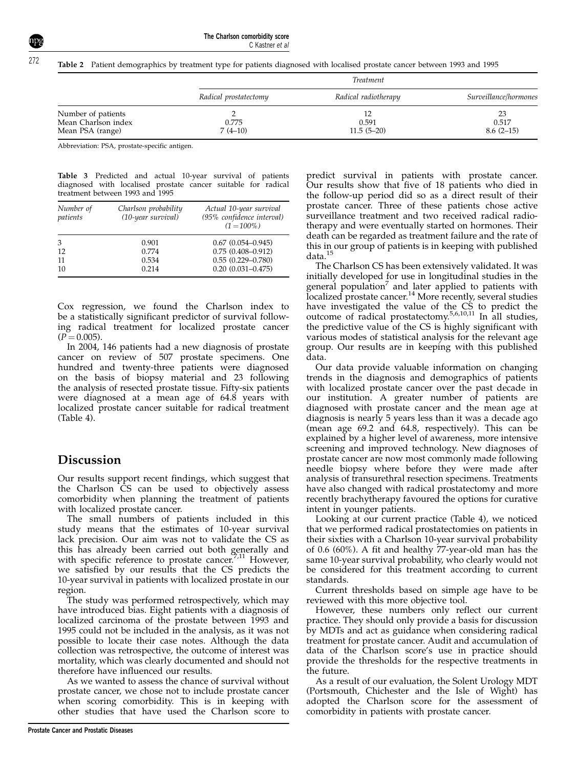Table 2 Patient demographics by treatment type for patients diagnosed with localised prostate cancer between 1993 and 1995

|                                                               | <i>Treatment</i>      |                       |                            |  |  |
|---------------------------------------------------------------|-----------------------|-----------------------|----------------------------|--|--|
|                                                               | Radical prostatectomy | Radical radiotherapy  | Surveillance/hormones      |  |  |
| Number of patients<br>Mean Charlson index<br>Mean PSA (range) | 0.775<br>$7(4-10)$    | 0.591<br>$11.5(5-20)$ | 23<br>0.517<br>$8.6(2-15)$ |  |  |

Abbreviation: PSA, prostate-specific antigen.

Table 3 Predicted and actual 10-year survival of patients diagnosed with localised prostate cancer suitable for radical treatment between 1993 and 1995

| Number of<br>patients | Charlson probability<br>(10-year survival) | Actual 10-year survival<br>(95% confidence interval)<br>$(1 = 100\%)$ |
|-----------------------|--------------------------------------------|-----------------------------------------------------------------------|
| 3                     | 0.901                                      | $0.67(0.054 - 0.945)$                                                 |
| 12                    | 0.774                                      | $0.75(0.408 - 0.912)$                                                 |
| 11                    | 0.534                                      | $0.55(0.229 - 0.780)$                                                 |
| 10                    | 0.214                                      | $0.20(0.031 - 0.475)$                                                 |

Cox regression, we found the Charlson index to be a statistically significant predictor of survival following radical treatment for localized prostate cancer  $(P = 0.005)$ .

In 2004, 146 patients had a new diagnosis of prostate cancer on review of 507 prostate specimens. One hundred and twenty-three patients were diagnosed on the basis of biopsy material and 23 following the analysis of resected prostate tissue. Fifty-six patients were diagnosed at a mean age of 64.8 years with localized prostate cancer suitable for radical treatment (Table 4).

## Discussion

Our results support recent findings, which suggest that the Charlson CS can be used to objectively assess comorbidity when planning the treatment of patients with localized prostate cancer.

The small numbers of patients included in this study means that the estimates of 10-year survival lack precision. Our aim was not to validate the CS as this has already been carried out both generally and with specific reference to prostate cancer.<sup>7,11</sup> However, we satisfied by our results that the CS predicts the 10-year survival in patients with localized prostate in our region.

The study was performed retrospectively, which may have introduced bias. Eight patients with a diagnosis of localized carcinoma of the prostate between 1993 and 1995 could not be included in the analysis, as it was not possible to locate their case notes. Although the data collection was retrospective, the outcome of interest was mortality, which was clearly documented and should not therefore have influenced our results.

As we wanted to assess the chance of survival without prostate cancer, we chose not to include prostate cancer when scoring comorbidity. This is in keeping with other studies that have used the Charlson score to

predict survival in patients with prostate cancer. Our results show that five of 18 patients who died in the follow-up period did so as a direct result of their prostate cancer. Three of these patients chose active surveillance treatment and two received radical radiotherapy and were eventually started on hormones. Their death can be regarded as treatment failure and the rate of this in our group of patients is in keeping with published data.<sup>15</sup>

The Charlson CS has been extensively validated. It was initially developed for use in longitudinal studies in the general population $\alpha$  and later applied to patients with localized prostate cancer.<sup>14</sup> More recently, several studies have investigated the value of the CS to predict the outcome of radical prostatectomy.5,6,10,11 In all studies, the predictive value of the CS is highly significant with various modes of statistical analysis for the relevant age group. Our results are in keeping with this published data.

Our data provide valuable information on changing trends in the diagnosis and demographics of patients with localized prostate cancer over the past decade in our institution. A greater number of patients are diagnosed with prostate cancer and the mean age at diagnosis is nearly 5 years less than it was a decade ago (mean age 69.2 and 64.8, respectively). This can be explained by a higher level of awareness, more intensive screening and improved technology. New diagnoses of prostate cancer are now most commonly made following needle biopsy where before they were made after analysis of transurethral resection specimens. Treatments have also changed with radical prostatectomy and more recently brachytherapy favoured the options for curative intent in younger patients.

Looking at our current practice (Table 4), we noticed that we performed radical prostatectomies on patients in their sixties with a Charlson 10-year survival probability of 0.6 (60%). A fit and healthy 77-year-old man has the same 10-year survival probability, who clearly would not be considered for this treatment according to current standards.

Current thresholds based on simple age have to be reviewed with this more objective tool.

However, these numbers only reflect our current practice. They should only provide a basis for discussion by MDTs and act as guidance when considering radical treatment for prostate cancer. Audit and accumulation of data of the Charlson score's use in practice should provide the thresholds for the respective treatments in the future.

As a result of our evaluation, the Solent Urology MDT (Portsmouth, Chichester and the Isle of Wight) has adopted the Charlson score for the assessment of comorbidity in patients with prostate cancer.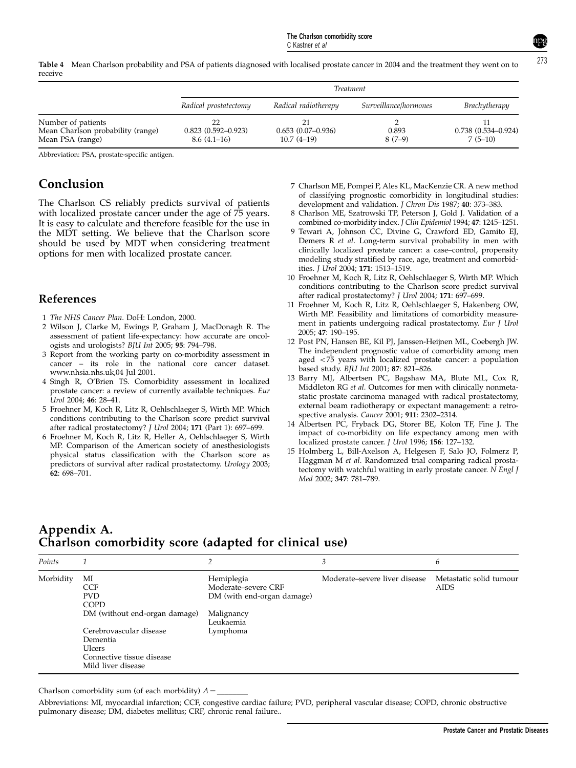Table 4 Mean Charlson probability and PSA of patients diagnosed with localised prostate cancer in 2004 and the treatment they went on to receive

|                                                                             | <b>Treatment</b>                        |                                     |                       |                                     |  |  |  |
|-----------------------------------------------------------------------------|-----------------------------------------|-------------------------------------|-----------------------|-------------------------------------|--|--|--|
|                                                                             | Radical prostatectomy                   | Radical radiotherapy                | Surveillance/hormones | <b>Brachytherapy</b>                |  |  |  |
| Number of patients<br>Mean Charlson probability (range)<br>Mean PSA (range) | $0.823(0.592 - 0.923)$<br>$8.6(4.1-16)$ | $0.653(0.07-0.936)$<br>$10.7(4-19)$ | 0.893<br>$8(7-9)$     | $0.738(0.534 - 0.924)$<br>$7(5-10)$ |  |  |  |

Abbreviation: PSA, prostate-specific antigen.

## Conclusion

The Charlson CS reliably predicts survival of patients with localized prostate cancer under the age of 75 years. It is easy to calculate and therefore feasible for the use in the MDT setting. We believe that the Charlson score should be used by MDT when considering treatment options for men with localized prostate cancer.

#### References

- 1 The NHS Cancer Plan. DoH: London, 2000.
- 2 Wilson J, Clarke M, Ewings P, Graham J, MacDonagh R. The assessment of patient life-expectancy: how accurate are oncologists and urologists? BJU Int 2005; 95: 794–798.
- 3 Report from the working party on co-morbidity assessment in cancer – its role in the national core cancer dataset. www.nhsia.nhs.uk,04 Jul 2001.
- 4 Singh R, O'Brien TS. Comorbidity assessment in localized prostate cancer: a review of currently available techniques. Eur Urol 2004; 46: 28–41.
- 5 Froehner M, Koch R, Litz R, Oehlschlaeger S, Wirth MP. Which conditions contributing to the Charlson score predict survival after radical prostatectomy? J Urol 2004; 171 (Part 1): 697–699.
- 6 Froehner M, Koch R, Litz R, Heller A, Oehlschlaeger S, Wirth MP. Comparison of the American society of anesthesiologists physical status classification with the Charlson score as predictors of survival after radical prostatectomy. Urology 2003; 62: 698–701.
- 7 Charlson ME, Pompei P, Ales KL, MacKenzie CR. A new method of classifying prognostic comorbidity in longitudinal studies: development and validation. J Chron Dis 1987; 40: 373-383.
- 8 Charlson ME, Szatrowski TP, Peterson J, Gold J. Validation of a combined co-morbidity index. J Clin Epidemiol 1994; 47: 1245–1251.
- 9 Tewari A, Johnson CC, Divine G, Crawford ED, Gamito EJ, Demers R et al. Long-term survival probability in men with clinically localized prostate cancer: a case–control, propensity modeling study stratified by race, age, treatment and comorbidities. J Urol 2004; 171: 1513–1519.
- 10 Froehner M, Koch R, Litz R, Oehlschlaeger S, Wirth MP. Which conditions contributing to the Charlson score predict survival after radical prostatectomy? J Urol 2004; 171: 697–699.
- 11 Froehner M, Koch R, Litz R, Oehlschlaeger S, Hakenberg OW, Wirth MP. Feasibility and limitations of comorbidity measurement in patients undergoing radical prostatectomy. Eur J Urol 2005; 47: 190–195.
- 12 Post PN, Hansen BE, Kil PJ, Janssen-Heijnen ML, Coebergh JW. The independent prognostic value of comorbidity among men aged  $<$ 75 years with localized prostate cancer: a population based study. BJU Int 2001; 87: 821–826.
- 13 Barry MJ, Albertsen PC, Bagshaw MA, Blute ML, Cox R, Middleton RG et al. Outcomes for men with clinically nonmetastatic prostate carcinoma managed with radical prostatectomy, external beam radiotherapy or expectant management: a retrospective analysis. Cancer 2001; 911: 2302–2314.
- 14 Albertsen PC, Fryback DG, Storer BE, Kolon TF, Fine J. The impact of co-morbidity on life expectancy among men with localized prostate cancer. J Urol 1996; 156: 127–132.
- 15 Holmberg L, Bill-Axelson A, Helgesen F, Salo JO, Folmerz P, Haggman M et al. Randomized trial comparing radical prostatectomy with watchful waiting in early prostate cancer. N Engl J Med 2002; 347: 781–789.

## Appendix A. Charlson comorbidity score (adapted for clinical use)

| Points    |                                                                                                                                                                                    | ∍                                                                                                      | 3                             | b                                      |
|-----------|------------------------------------------------------------------------------------------------------------------------------------------------------------------------------------|--------------------------------------------------------------------------------------------------------|-------------------------------|----------------------------------------|
| Morbidity | MI<br><b>CCF</b><br><b>PVD</b><br><b>COPD</b><br>DM (without end-organ damage)<br>Cerebrovascular disease<br>Dementia<br>Ulcers<br>Connective tissue disease<br>Mild liver disease | Hemiplegia<br>Moderate-severe CRF<br>DM (with end-organ damage)<br>Malignancy<br>Leukaemia<br>Lymphoma | Moderate–severe liver disease | Metastatic solid tumour<br><b>AIDS</b> |

Charlson comorbidity sum (of each morbidity)  $A =$ 

Abbreviations: MI, myocardial infarction; CCF, congestive cardiac failure; PVD, peripheral vascular disease; COPD, chronic obstructive pulmonary disease; DM, diabetes mellitus; CRF, chronic renal failure..